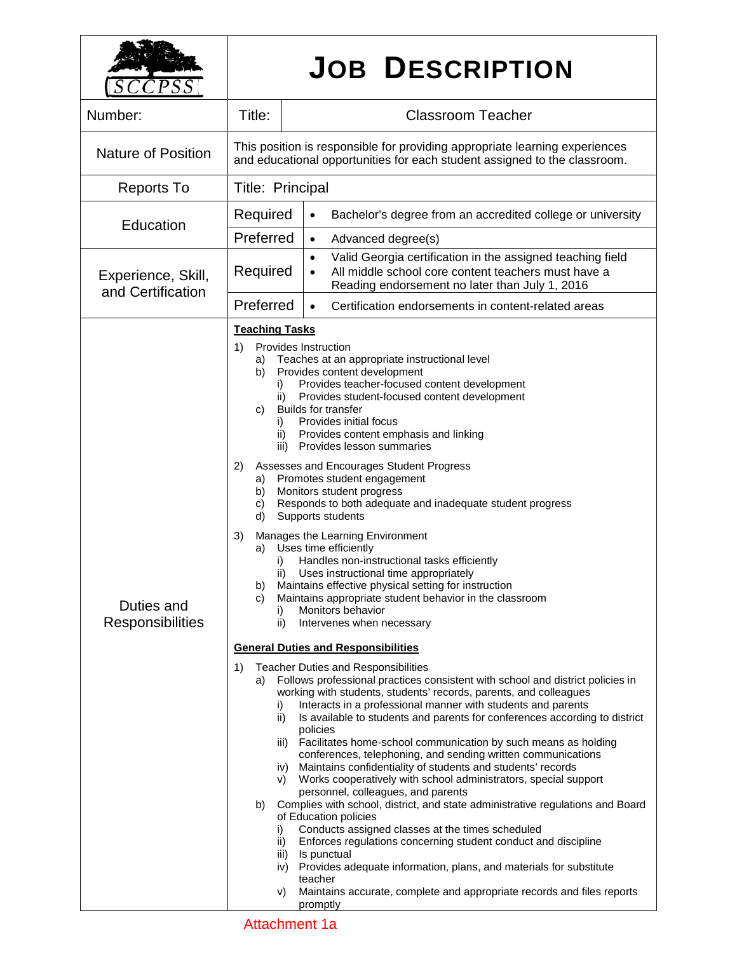| $\mathcal{L}PSS$                                     |                                                                                                                                                                    | <b>JOB DESCRIPTION</b>                                                                                                                                                                                                                                                                                                                                                                                                                                                                                                                                                                                                                                                                                                                                                                                                                                                                                                                                                                                                                                                                                                              |
|------------------------------------------------------|--------------------------------------------------------------------------------------------------------------------------------------------------------------------|-------------------------------------------------------------------------------------------------------------------------------------------------------------------------------------------------------------------------------------------------------------------------------------------------------------------------------------------------------------------------------------------------------------------------------------------------------------------------------------------------------------------------------------------------------------------------------------------------------------------------------------------------------------------------------------------------------------------------------------------------------------------------------------------------------------------------------------------------------------------------------------------------------------------------------------------------------------------------------------------------------------------------------------------------------------------------------------------------------------------------------------|
| Number:                                              | Title:                                                                                                                                                             | <b>Classroom Teacher</b>                                                                                                                                                                                                                                                                                                                                                                                                                                                                                                                                                                                                                                                                                                                                                                                                                                                                                                                                                                                                                                                                                                            |
| <b>Nature of Position</b>                            |                                                                                                                                                                    | This position is responsible for providing appropriate learning experiences<br>and educational opportunities for each student assigned to the classroom.                                                                                                                                                                                                                                                                                                                                                                                                                                                                                                                                                                                                                                                                                                                                                                                                                                                                                                                                                                            |
| <b>Reports To</b>                                    | Title: Principal                                                                                                                                                   |                                                                                                                                                                                                                                                                                                                                                                                                                                                                                                                                                                                                                                                                                                                                                                                                                                                                                                                                                                                                                                                                                                                                     |
| Education<br>Experience, Skill,<br>and Certification | Required                                                                                                                                                           | Bachelor's degree from an accredited college or university<br>$\bullet$                                                                                                                                                                                                                                                                                                                                                                                                                                                                                                                                                                                                                                                                                                                                                                                                                                                                                                                                                                                                                                                             |
|                                                      | Preferred                                                                                                                                                          | Advanced degree(s)<br>$\bullet$<br>Valid Georgia certification in the assigned teaching field<br>$\bullet$                                                                                                                                                                                                                                                                                                                                                                                                                                                                                                                                                                                                                                                                                                                                                                                                                                                                                                                                                                                                                          |
|                                                      | Required                                                                                                                                                           | All middle school core content teachers must have a<br>$\bullet$<br>Reading endorsement no later than July 1, 2016                                                                                                                                                                                                                                                                                                                                                                                                                                                                                                                                                                                                                                                                                                                                                                                                                                                                                                                                                                                                                  |
|                                                      | Preferred                                                                                                                                                          | Certification endorsements in content-related areas<br>$\bullet$                                                                                                                                                                                                                                                                                                                                                                                                                                                                                                                                                                                                                                                                                                                                                                                                                                                                                                                                                                                                                                                                    |
| Duties and<br><b>Responsibilities</b>                | <b>Teaching Tasks</b><br>1)<br>a)<br>b)<br>i)<br>ii)<br>C)<br>$\mathbf{I}$<br>ii)<br>iii)<br>2)<br>a)<br>b)<br>C)<br>d)<br>3)<br>a)<br>i)<br>b)<br>C)<br>i)<br>ii) | Provides Instruction<br>Teaches at an appropriate instructional level<br>Provides content development<br>Provides teacher-focused content development<br>Provides student-focused content development<br><b>Builds for transfer</b><br>Provides initial focus<br>Provides content emphasis and linking<br>Provides lesson summaries<br>Assesses and Encourages Student Progress<br>Promotes student engagement<br>Monitors student progress<br>Responds to both adequate and inadequate student progress<br>Supports students<br>Manages the Learning Environment<br>Uses time efficiently<br>Handles non-instructional tasks efficiently<br>ii) Uses instructional time appropriately<br>Maintains effective physical setting for instruction<br>Maintains appropriate student behavior in the classroom<br>Monitors behavior<br>Intervenes when necessary                                                                                                                                                                                                                                                                         |
|                                                      | 1)<br>a)<br>i)<br>ii)<br>iii)<br>iv)<br>V)<br>b)<br>i)<br>ii)<br>iii)<br>iv)<br>V)                                                                                 | <b>General Duties and Responsibilities</b><br>Teacher Duties and Responsibilities<br>Follows professional practices consistent with school and district policies in<br>working with students, students' records, parents, and colleagues<br>Interacts in a professional manner with students and parents<br>Is available to students and parents for conferences according to district<br>policies<br>Facilitates home-school communication by such means as holding<br>conferences, telephoning, and sending written communications<br>Maintains confidentiality of students and students' records<br>Works cooperatively with school administrators, special support<br>personnel, colleagues, and parents<br>Complies with school, district, and state administrative regulations and Board<br>of Education policies<br>Conducts assigned classes at the times scheduled<br>Enforces regulations concerning student conduct and discipline<br>Is punctual<br>Provides adequate information, plans, and materials for substitute<br>teacher<br>Maintains accurate, complete and appropriate records and files reports<br>promptly |

## Attachment 1a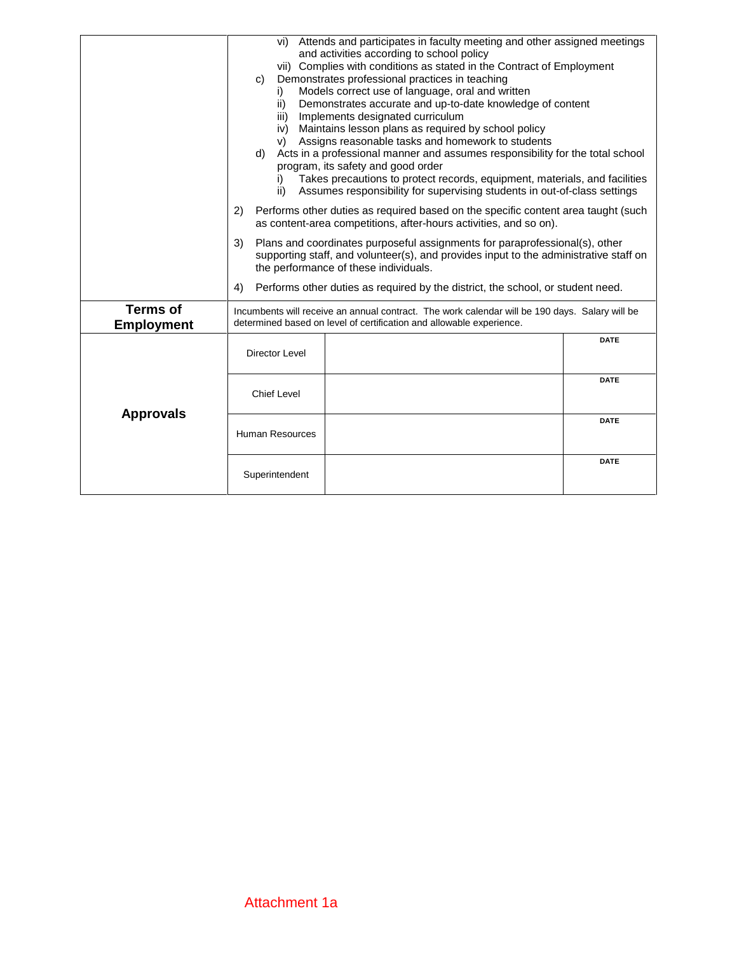|                                      | vi) Attends and participates in faculty meeting and other assigned meetings<br>and activities according to school policy<br>vii) Complies with conditions as stated in the Contract of Employment<br>Demonstrates professional practices in teaching<br>C)<br>Models correct use of language, oral and written<br>i)<br>Demonstrates accurate and up-to-date knowledge of content<br>ii)<br>Implements designated curriculum<br>iii)<br>Maintains lesson plans as required by school policy<br>iv)<br>Assigns reasonable tasks and homework to students<br>V)<br>Acts in a professional manner and assumes responsibility for the total school<br>d)<br>program, its safety and good order<br>Takes precautions to protect records, equipment, materials, and facilities<br>Assumes responsibility for supervising students in out-of-class settings<br>ii)<br>Performs other duties as required based on the specific content area taught (such<br>2)<br>as content-area competitions, after-hours activities, and so on).<br>Plans and coordinates purposeful assignments for paraprofessional(s), other<br>3)<br>supporting staff, and volunteer(s), and provides input to the administrative staff on<br>the performance of these individuals.<br>Performs other duties as required by the district, the school, or student need.<br>4) |             |  |
|--------------------------------------|---------------------------------------------------------------------------------------------------------------------------------------------------------------------------------------------------------------------------------------------------------------------------------------------------------------------------------------------------------------------------------------------------------------------------------------------------------------------------------------------------------------------------------------------------------------------------------------------------------------------------------------------------------------------------------------------------------------------------------------------------------------------------------------------------------------------------------------------------------------------------------------------------------------------------------------------------------------------------------------------------------------------------------------------------------------------------------------------------------------------------------------------------------------------------------------------------------------------------------------------------------------------------------------------------------------------------------------------|-------------|--|
| <b>Terms of</b><br><b>Employment</b> | Incumbents will receive an annual contract. The work calendar will be 190 days. Salary will be<br>determined based on level of certification and allowable experience.                                                                                                                                                                                                                                                                                                                                                                                                                                                                                                                                                                                                                                                                                                                                                                                                                                                                                                                                                                                                                                                                                                                                                                      |             |  |
|                                      | Director Level                                                                                                                                                                                                                                                                                                                                                                                                                                                                                                                                                                                                                                                                                                                                                                                                                                                                                                                                                                                                                                                                                                                                                                                                                                                                                                                              | <b>DATE</b> |  |
| <b>Approvals</b>                     | <b>Chief Level</b>                                                                                                                                                                                                                                                                                                                                                                                                                                                                                                                                                                                                                                                                                                                                                                                                                                                                                                                                                                                                                                                                                                                                                                                                                                                                                                                          | <b>DATE</b> |  |
|                                      | <b>Human Resources</b>                                                                                                                                                                                                                                                                                                                                                                                                                                                                                                                                                                                                                                                                                                                                                                                                                                                                                                                                                                                                                                                                                                                                                                                                                                                                                                                      | <b>DATE</b> |  |
|                                      | Superintendent                                                                                                                                                                                                                                                                                                                                                                                                                                                                                                                                                                                                                                                                                                                                                                                                                                                                                                                                                                                                                                                                                                                                                                                                                                                                                                                              | <b>DATE</b> |  |